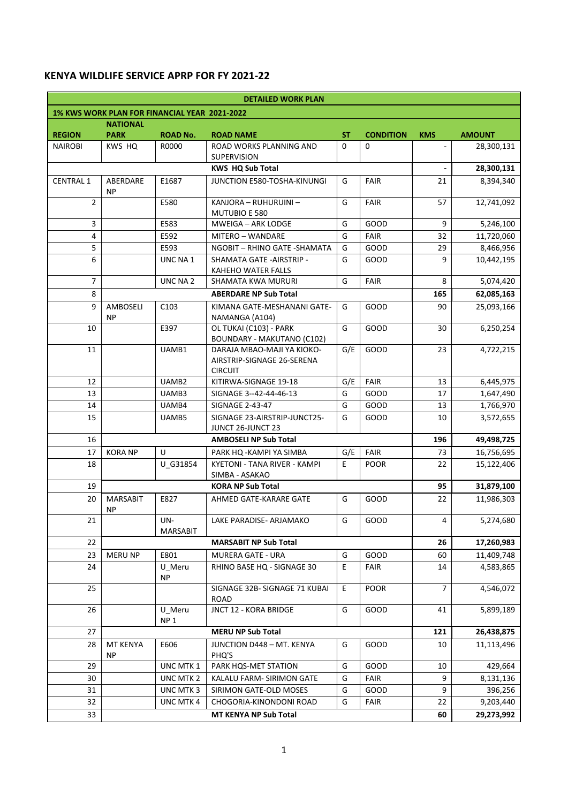## **KENYA WILDLIFE SERVICE APRP FOR FY 2021-22**

| <b>DETAILED WORK PLAN</b>                     |                              |                              |                                                                            |          |                  |                |               |  |  |
|-----------------------------------------------|------------------------------|------------------------------|----------------------------------------------------------------------------|----------|------------------|----------------|---------------|--|--|
| 1% KWS WORK PLAN FOR FINANCIAL YEAR 2021-2022 |                              |                              |                                                                            |          |                  |                |               |  |  |
| <b>NATIONAL</b>                               |                              |                              |                                                                            |          |                  |                |               |  |  |
| <b>REGION</b>                                 | <b>PARK</b>                  | <b>ROAD No.</b>              | <b>ROAD NAME</b>                                                           | ST       | <b>CONDITION</b> | <b>KMS</b>     | <b>AMOUNT</b> |  |  |
| <b>NAIROBI</b>                                | KWS HQ                       | R0000                        | ROAD WORKS PLANNING AND<br><b>SUPERVISION</b>                              | $\Omega$ | $\Omega$         |                | 28,300,131    |  |  |
|                                               | <b>KWS HQ Sub Total</b>      |                              |                                                                            |          |                  |                | 28,300,131    |  |  |
| <b>CENTRAL 1</b>                              | ABERDARE<br><b>NP</b>        | E1687                        | <b>JUNCTION E580-TOSHA-KINUNGI</b>                                         | G        | <b>FAIR</b>      | 21             | 8,394,340     |  |  |
| $\overline{2}$                                |                              | E580                         | KANJORA - RUHURUINI -<br>MUTUBIO E 580                                     | G        | <b>FAIR</b>      | 57             | 12,741,092    |  |  |
| 3                                             |                              | E583                         | <b>MWEIGA - ARK LODGE</b>                                                  | G        | GOOD             | 9              | 5,246,100     |  |  |
| 4                                             |                              | E592                         | MITERO - WANDARE                                                           | G        | <b>FAIR</b>      | 32             | 11,720,060    |  |  |
| 5                                             |                              | E593                         | NGOBIT - RHINO GATE - SHAMATA                                              | G        | GOOD             | 29             | 8,466,956     |  |  |
| 6                                             |                              | UNC NA 1                     | SHAMATA GATE - AIRSTRIP -<br>KAHEHO WATER FALLS                            | G        | GOOD             | 9              | 10,442,195    |  |  |
| $\overline{7}$                                |                              | UNC NA 2                     | <b>SHAMATA KWA MURURI</b>                                                  | G        | <b>FAIR</b>      | 8              | 5,074,420     |  |  |
| 8                                             |                              |                              | <b>ABERDARE NP Sub Total</b>                                               |          |                  | 165            | 62,085,163    |  |  |
| 9                                             | AMBOSELI<br><b>NP</b>        | C <sub>103</sub>             | KIMANA GATE-MESHANANI GATE-<br>NAMANGA (A104)                              | G        | GOOD             | 90             | 25,093,166    |  |  |
| 10                                            |                              | E397                         | OL TUKAI (C103) - PARK<br>BOUNDARY - MAKUTANO (C102)                       | G        | GOOD             | 30             | 6,250,254     |  |  |
| 11                                            |                              | UAMB1                        | DARAJA MBAO-MAJI YA KIOKO-<br>AIRSTRIP-SIGNAGE 26-SERENA<br><b>CIRCUIT</b> | G/E      | GOOD             | 23             | 4,722,215     |  |  |
| 12                                            |                              | UAMB <sub>2</sub>            | KITIRWA-SIGNAGE 19-18                                                      | G/E      | <b>FAIR</b>      | 13             | 6,445,975     |  |  |
| 13                                            |                              | UAMB3                        | SIGNAGE 3--42-44-46-13                                                     | G        | GOOD             | 17             | 1,647,490     |  |  |
| 14                                            |                              | UAMB4                        | SIGNAGE 2-43-47                                                            | G        | GOOD             | 13             | 1,766,970     |  |  |
| 15                                            |                              | UAMB5                        | SIGNAGE 23-AIRSTRIP-JUNCT25-<br>JUNCT 26-JUNCT 23                          | G        | GOOD             | 10             | 3,572,655     |  |  |
| 16                                            |                              | <b>AMBOSELI NP Sub Total</b> |                                                                            |          |                  |                | 49,498,725    |  |  |
| 17                                            | <b>KORA NP</b>               | U                            | PARK HQ - KAMPI YA SIMBA                                                   | G/E      | <b>FAIR</b>      | 73             | 16,756,695    |  |  |
| 18                                            |                              | U G31854                     | <b>KYETONI - TANA RIVER - KAMPI</b><br>SIMBA - ASAKAO                      | E        | <b>POOR</b>      | 22             | 15,122,406    |  |  |
| 19                                            | <b>KORA NP Sub Total</b>     |                              |                                                                            |          |                  | 95             | 31,879,100    |  |  |
| 20                                            | <b>MARSABIT</b><br>ΝP        | E827                         | AHMED GATE-KARARE GATE                                                     | G        | GOOD             | 22             | 11,986,303    |  |  |
| 21                                            |                              | UN-<br><b>MARSABIT</b>       | LAKE PARADISE- ARJAMAKO                                                    | G        | GOOD             | 4              | 5,274,680     |  |  |
| 22                                            | <b>MARSABIT NP Sub Total</b> |                              |                                                                            |          |                  |                | 17,260,983    |  |  |
| 23                                            | <b>MERU NP</b>               | E801                         | <b>MURERA GATE - URA</b>                                                   | G        | GOOD             | 60             | 11,409,748    |  |  |
| 24                                            |                              | U Meru<br>NP                 | RHINO BASE HQ - SIGNAGE 30                                                 | E.       | FAIR             | 14             | 4,583,865     |  |  |
| 25                                            |                              |                              | SIGNAGE 32B- SIGNAGE 71 KUBAI<br><b>ROAD</b>                               | E.       | <b>POOR</b>      | $\overline{7}$ | 4,546,072     |  |  |
| 26                                            |                              | U Meru<br>NP <sub>1</sub>    | JNCT 12 - KORA BRIDGE                                                      | G        | GOOD             | 41             | 5,899,189     |  |  |
| 27                                            |                              |                              | <b>MERU NP Sub Total</b>                                                   |          |                  | 121            | 26,438,875    |  |  |
| 28                                            | MT KENYA<br><b>NP</b>        | E606                         | JUNCTION D448 - MT. KENYA<br>PHQ'S                                         | G        | GOOD             | 10             | 11,113,496    |  |  |
| 29                                            |                              | UNC MTK 1                    | PARK HQS-MET STATION                                                       | G        | GOOD             | 10             | 429,664       |  |  |
| 30                                            |                              | UNC MTK 2                    | KALALU FARM- SIRIMON GATE                                                  | G        | <b>FAIR</b>      | 9              | 8,131,136     |  |  |
| 31                                            |                              | UNC MTK 3                    | SIRIMON GATE-OLD MOSES                                                     | G        | GOOD             | 9              | 396,256       |  |  |
| 32                                            |                              | UNC MTK 4                    | CHOGORIA-KINONDONI ROAD                                                    | G        | <b>FAIR</b>      | 22             | 9,203,440     |  |  |
| 33                                            |                              |                              | MT KENYA NP Sub Total                                                      |          |                  | 60             | 29,273,992    |  |  |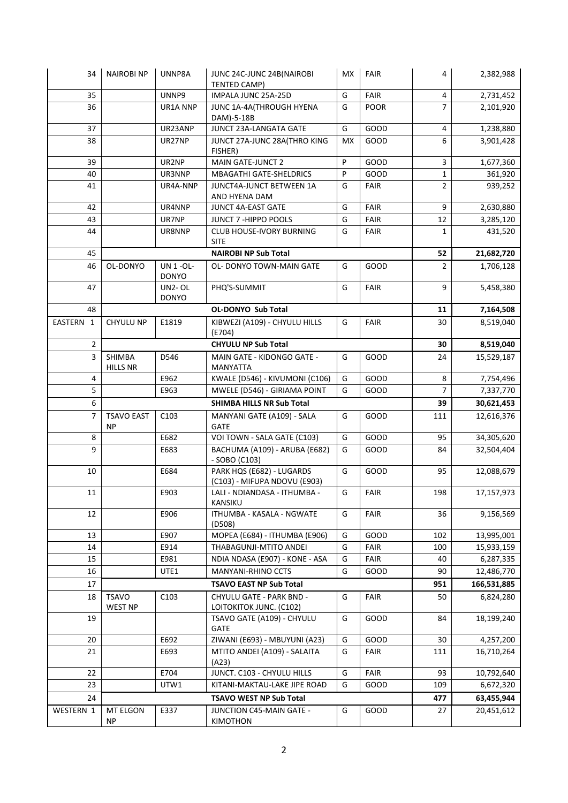| 34             | <b>NAIROBINP</b>               | UNNP8A                           | JUNC 24C-JUNC 24B(NAIROBI<br>TENTED CAMP)                 | <b>MX</b> | <b>FAIR</b> | 4              | 2,382,988   |
|----------------|--------------------------------|----------------------------------|-----------------------------------------------------------|-----------|-------------|----------------|-------------|
| 35             |                                | UNNP9                            | IMPALA JUNC 25A-25D                                       | G         | FAIR        | 4              | 2,731,452   |
| 36             |                                | UR1A NNP                         | JUNC 1A-4A(THROUGH HYENA<br>DAM)-5-18B                    | G         | <b>POOR</b> | $\overline{7}$ | 2,101,920   |
| 37             |                                | UR23ANP                          | JUNCT 23A-LANGATA GATE                                    | G         | GOOD        | 4              | 1,238,880   |
| 38             |                                | UR27NP                           | JUNCT 27A-JUNC 28A(THRO KING<br>FISHER)                   | <b>MX</b> | GOOD        | 6              | 3,901,428   |
| 39             |                                | UR2NP                            | MAIN GATE-JUNCT 2                                         | P         | GOOD        | 3              | 1,677,360   |
| 40             |                                | UR3NNP                           | <b>MBAGATHI GATE-SHELDRICS</b>                            | P         | GOOD        | 1              | 361,920     |
| 41             |                                | UR4A-NNP                         | JUNCT4A-JUNCT BETWEEN 1A<br>AND HYENA DAM                 | G         | <b>FAIR</b> | $\overline{2}$ | 939,252     |
| 42             |                                | UR4NNP                           | JUNCT 4A-EAST GATE                                        | G         | <b>FAIR</b> | 9              | 2,630,880   |
| 43             |                                | UR7NP                            | JUNCT 7 - HIPPO POOLS                                     | G         | <b>FAIR</b> | 12             | 3,285,120   |
| 44             |                                | UR8NNP                           | CLUB HOUSE-IVORY BURNING<br><b>SITE</b>                   | G         | <b>FAIR</b> | 1              | 431,520     |
| 45             |                                |                                  | <b>NAIROBI NP Sub Total</b>                               |           |             | 52             | 21,682,720  |
| 46             | OL-DONYO                       | <b>UN 1 -OL-</b><br><b>DONYO</b> | <b>OL- DONYO TOWN-MAIN GATE</b>                           | G         | GOOD        | $\overline{2}$ | 1,706,128   |
| 47             |                                | UN2-OL<br><b>DONYO</b>           | PHQ'S-SUMMIT                                              | G         | <b>FAIR</b> | 9              | 5,458,380   |
| 48             |                                |                                  | <b>OL-DONYO Sub Total</b>                                 |           |             | 11             | 7,164,508   |
| EASTERN 1      | CHYULU NP                      | E1819                            | KIBWEZI (A109) - CHYULU HILLS<br>(E704)                   | G         | <b>FAIR</b> | 30             | 8,519,040   |
| $\overline{2}$ |                                |                                  | <b>CHYULU NP Sub Total</b>                                |           |             | 30             | 8,519,040   |
| 3              | SHIMBA<br>HILLS NR             | D546                             | MAIN GATE - KIDONGO GATE -<br><b>MANYATTA</b>             | G         | GOOD        | 24             | 15,529,187  |
| 4              |                                | E962                             | KWALE (D546) - KIVUMONI (C106)                            | G         | GOOD        | 8              | 7,754,496   |
| 5              |                                | E963                             | MWELE (D546) - GIRIAMA POINT                              | G         | GOOD        | $\overline{7}$ | 7,337,770   |
| 6              |                                |                                  | SHIMBA HILLS NR Sub Total                                 |           |             | 39             | 30,621,453  |
| $\overline{7}$ | <b>TSAVO EAST</b><br><b>NP</b> | C103                             | MANYANI GATE (A109) - SALA<br><b>GATE</b>                 | G         | GOOD        | 111            | 12,616,376  |
| 8              |                                | E682                             | VOI TOWN - SALA GATE (C103)                               | G         | GOOD        | 95             | 34,305,620  |
| 9              |                                | E683                             | BACHUMA (A109) - ARUBA (E682)<br>- SOBO (C103)            | G         | GOOD        | 84             | 32,504,404  |
| 10             |                                | E684                             | PARK HQS (E682) - LUGARDS<br>(C103) - MIFUPA NDOVU (E903) | G         | GOOD        | 95             | 12,088,679  |
| 11             |                                | E903                             | LALI - NDIANDASA - ITHUMBA -<br><b>KANSIKU</b>            | G         | FAIR        | 198            | 17,157,973  |
| 12             |                                | E906                             | ITHUMBA - KASALA - NGWATE<br>(D508)                       | G         | <b>FAIR</b> | 36             | 9,156,569   |
| 13             |                                | E907                             | MOPEA (E684) - ITHUMBA (E906)                             | G         | GOOD        | 102            | 13,995,001  |
| 14             |                                | E914                             | THABAGUNJI-MTITO ANDEI                                    | G         | <b>FAIR</b> | 100            | 15,933,159  |
| 15             |                                | E981                             | NDIA NDASA (E907) - KONE - ASA                            | G         | <b>FAIR</b> | 40             | 6,287,335   |
| 16             |                                | UTE1                             | MANYANI-RHINO CCTS                                        | G         | GOOD        | 90             | 12,486,770  |
| 17             | <b>TSAVO EAST NP Sub Total</b> |                                  |                                                           |           |             | 951            | 166,531,885 |
| 18             | <b>TSAVO</b><br><b>WEST NP</b> | C103                             | CHYULU GATE - PARK BND -<br>LOITOKITOK JUNC. (C102)       | G         | FAIR        | 50             | 6,824,280   |
| 19             |                                |                                  | TSAVO GATE (A109) - CHYULU<br>GATE                        | G         | GOOD        | 84             | 18,199,240  |
| 20             |                                | E692                             | ZIWANI (E693) - MBUYUNI (A23)                             | G         | GOOD        | 30             | 4,257,200   |
| 21             |                                | E693                             | MTITO ANDEI (A109) - SALAITA<br>(A23)                     | G         | <b>FAIR</b> | 111            | 16,710,264  |
| 22             |                                | E704                             | JUNCT. C103 - CHYULU HILLS                                | G         | <b>FAIR</b> | 93             | 10,792,640  |
| 23             |                                | UTW1                             | KITANI-MAKTAU-LAKE JIPE ROAD                              | G         | GOOD        | 109            | 6,672,320   |
| 24             | TSAVO WEST NP Sub Total        |                                  |                                                           |           |             | 477            | 63,455,944  |
| WESTERN 1      | MT ELGON<br><b>NP</b>          | E337                             | JUNCTION C45-MAIN GATE -<br>KIMOTHON                      | G         | GOOD        | 27             | 20,451,612  |